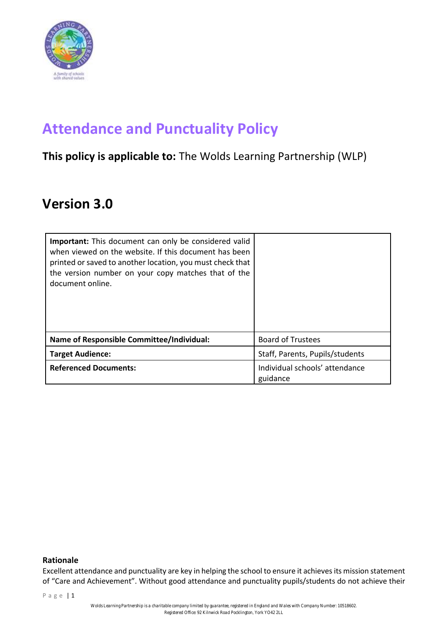

# **Attendance and Punctuality Policy**

### **This policy is applicable to:** The Wolds Learning Partnership (WLP)

## **Version 3.0**

| <b>Important:</b> This document can only be considered valid<br>when viewed on the website. If this document has been<br>printed or saved to another location, you must check that<br>the version number on your copy matches that of the<br>document online. |                                            |
|---------------------------------------------------------------------------------------------------------------------------------------------------------------------------------------------------------------------------------------------------------------|--------------------------------------------|
| Name of Responsible Committee/Individual:                                                                                                                                                                                                                     | <b>Board of Trustees</b>                   |
| <b>Target Audience:</b>                                                                                                                                                                                                                                       | Staff, Parents, Pupils/students            |
| <b>Referenced Documents:</b>                                                                                                                                                                                                                                  | Individual schools' attendance<br>guidance |

#### **Rationale**

Excellent attendance and punctuality are key in helping the school to ensure it achieves its mission statement of "Care and Achievement". Without good attendance and punctuality pupils/students do not achieve their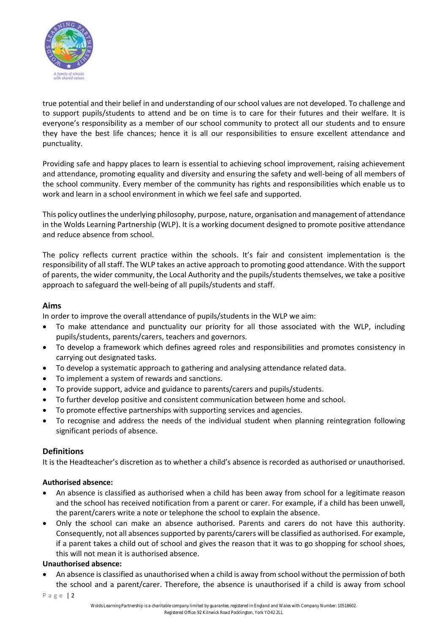

true potential and their belief in and understanding of our school values are not developed. To challenge and to support pupils/students to attend and be on time is to care for their futures and their welfare. It is everyone's responsibility as a member of our school community to protect all our students and to ensure they have the best life chances; hence it is all our responsibilities to ensure excellent attendance and punctuality.

Providing safe and happy places to learn is essential to achieving school improvement, raising achievement and attendance, promoting equality and diversity and ensuring the safety and well-being of all members of the school community. Every member of the community has rights and responsibilities which enable us to work and learn in a school environment in which we feel safe and supported.

This policy outlines the underlying philosophy, purpose, nature, organisation and management of attendance in the Wolds Learning Partnership (WLP). It is a working document designed to promote positive attendance and reduce absence from school.

The policy reflects current practice within the schools. It's fair and consistent implementation is the responsibility of all staff. The WLP takes an active approach to promoting good attendance. With the support of parents, the wider community, the Local Authority and the pupils/students themselves, we take a positive approach to safeguard the well-being of all pupils/students and staff.

#### **Aims**

In order to improve the overall attendance of pupils/students in the WLP we aim:

- To make attendance and punctuality our priority for all those associated with the WLP, including pupils/students, parents/carers, teachers and governors.
- To develop a framework which defines agreed roles and responsibilities and promotes consistency in carrying out designated tasks.
- To develop a systematic approach to gathering and analysing attendance related data.
- To implement a system of rewards and sanctions.
- To provide support, advice and guidance to parents/carers and pupils/students.
- To further develop positive and consistent communication between home and school.
- To promote effective partnerships with supporting services and agencies.
- To recognise and address the needs of the individual student when planning reintegration following significant periods of absence.

#### **Definitions**

It is the Headteacher's discretion as to whether a child's absence is recorded as authorised or unauthorised.

#### **Authorised absence:**

- An absence is classified as authorised when a child has been away from school for a legitimate reason and the school has received notification from a parent or carer. For example, if a child has been unwell, the parent/carers write a note or telephone the school to explain the absence.
- Only the school can make an absence authorised. Parents and carers do not have this authority. Consequently, not all absences supported by parents/carers will be classified as authorised. For example, if a parent takes a child out of school and gives the reason that it was to go shopping for school shoes, this will not mean it is authorised absence.

#### **Unauthorised absence:**

• An absence is classified as unauthorised when a child is away from school without the permission of both the school and a parent/carer. Therefore, the absence is unauthorised if a child is away from school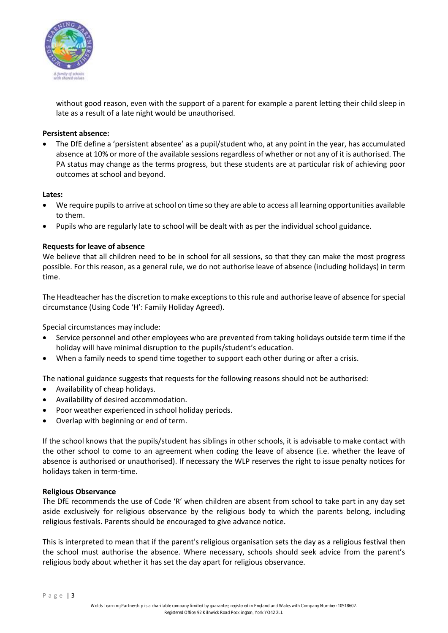

without good reason, even with the support of a parent for example a parent letting their child sleep in late as a result of a late night would be unauthorised.

#### **Persistent absence:**

• The DfE define a 'persistent absentee' as a pupil/student who, at any point in the year, has accumulated absence at 10% or more of the available sessions regardless of whether or not any of it is authorised. The PA status may change as the terms progress, but these students are at particular risk of achieving poor outcomes at school and beyond.

#### **Lates:**

- We require pupils to arrive at school on time so they are able to access all learning opportunities available to them.
- Pupils who are regularly late to school will be dealt with as per the individual school guidance.

#### **Requests for leave of absence**

We believe that all children need to be in school for all sessions, so that they can make the most progress possible. For this reason, as a general rule, we do not authorise leave of absence (including holidays) in term time.

The Headteacher has the discretion to make exceptions to this rule and authorise leave of absence for special circumstance (Using Code 'H': Family Holiday Agreed).

Special circumstances may include:

- Service personnel and other employees who are prevented from taking holidays outside term time if the holiday will have minimal disruption to the pupils/student's education.
- When a family needs to spend time together to support each other during or after a crisis.

The national guidance suggests that requests for the following reasons should not be authorised:

- Availability of cheap holidays.
- Availability of desired accommodation.
- Poor weather experienced in school holiday periods.
- Overlap with beginning or end of term.

If the school knows that the pupils/student has siblings in other schools, it is advisable to make contact with the other school to come to an agreement when coding the leave of absence (i.e. whether the leave of absence is authorised or unauthorised). If necessary the WLP reserves the right to issue penalty notices for holidays taken in term-time.

#### **Religious Observance**

The DfE recommends the use of Code 'R' when children are absent from school to take part in any day set aside exclusively for religious observance by the religious body to which the parents belong, including religious festivals. Parents should be encouraged to give advance notice.

This is interpreted to mean that if the parent's religious organisation sets the day as a religious festival then the school must authorise the absence. Where necessary, schools should seek advice from the parent's religious body about whether it has set the day apart for religious observance.

P a g e | 3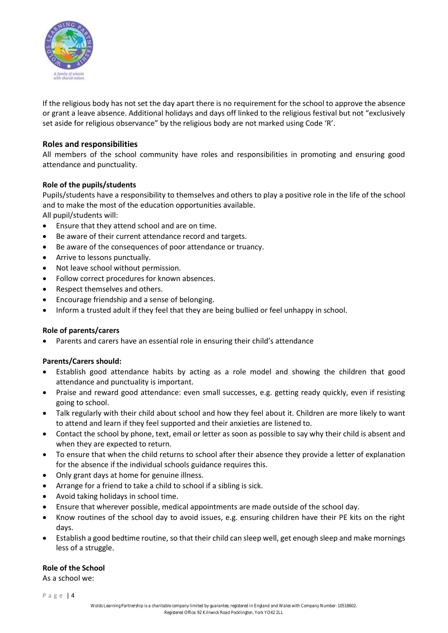

If the religious body has not set the day apart there is no requirement for the school to approve the absence or grant a leave absence. Additional holidays and days off linked to the religious festival but not "exclusively set aside for religious observance" by the religious body are not marked using Code 'R'.

#### **Roles and responsibilities**

All members of the school community have roles and responsibilities in promoting and ensuring good attendance and punctuality.

#### **Role of the pupils/students**

Pupils/students have a responsibility to themselves and others to play a positive role in the life of the school and to make the most of the education opportunities available.

All pupil/students will:

- Ensure that they attend school and are on time.
- Be aware of their current attendance record and targets.
- Be aware of the consequences of poor attendance or truancy.
- Arrive to lessons punctually.
- Not leave school without permission.
- Follow correct procedures for known absences.
- Respect themselves and others.
- Encourage friendship and a sense of belonging.
- Inform a trusted adult if they feel that they are being bullied or feel unhappy in school.

#### **Role of parents/carers**

• Parents and carers have an essential role in ensuring their child's attendance

#### **Parents/Carers should:**

- Establish good attendance habits by acting as a role model and showing the children that good attendance and punctuality is important.
- Praise and reward good attendance: even small successes, e.g. getting ready quickly, even if resisting going to school.
- Talk regularly with their child about school and how they feel about it. Children are more likely to want to attend and learn if they feel supported and their anxieties are listened to.
- Contact the school by phone, text, email or letter as soon as possible to say why their child is absent and when they are expected to return.
- To ensure that when the child returns to school after their absence they provide a letter of explanation for the absence if the individual schools guidance requires this.
- Only grant days at home for genuine illness.
- Arrange for a friend to take a child to school if a sibling is sick.
- Avoid taking holidays in school time.
- Ensure that wherever possible, medical appointments are made outside of the school day.
- Know routines of the school day to avoid issues, e.g. ensuring children have their PE kits on the right days.
- Establish a good bedtime routine, so that their child can sleep well, get enough sleep and make mornings less of a struggle.

#### **Role of the School**

As a school we:

P a g e | 4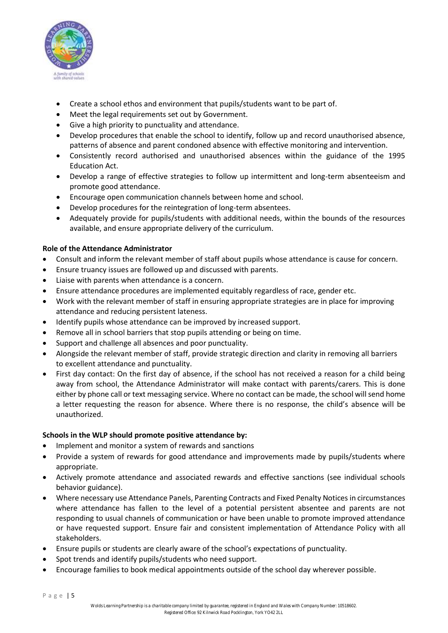

- Create a school ethos and environment that pupils/students want to be part of.
- Meet the legal requirements set out by Government.
- Give a high priority to punctuality and attendance.
- Develop procedures that enable the school to identify, follow up and record unauthorised absence, patterns of absence and parent condoned absence with effective monitoring and intervention.
- Consistently record authorised and unauthorised absences within the guidance of the 1995 Education Act.
- Develop a range of effective strategies to follow up intermittent and long-term absenteeism and promote good attendance.
- Encourage open communication channels between home and school.
- Develop procedures for the reintegration of long-term absentees.
- Adequately provide for pupils/students with additional needs, within the bounds of the resources available, and ensure appropriate delivery of the curriculum.

#### **Role of the Attendance Administrator**

- Consult and inform the relevant member of staff about pupils whose attendance is cause for concern.
- Ensure truancy issues are followed up and discussed with parents.
- Liaise with parents when attendance is a concern.
- Ensure attendance procedures are implemented equitably regardless of race, gender etc.
- Work with the relevant member of staff in ensuring appropriate strategies are in place for improving attendance and reducing persistent lateness.
- Identify pupils whose attendance can be improved by increased support.
- Remove all in school barriers that stop pupils attending or being on time.
- Support and challenge all absences and poor punctuality.
- Alongside the relevant member of staff, provide strategic direction and clarity in removing all barriers to excellent attendance and punctuality.
- First day contact: On the first day of absence, if the school has not received a reason for a child being away from school, the Attendance Administrator will make contact with parents/carers. This is done either by phone call or text messaging service. Where no contact can be made, the school will send home a letter requesting the reason for absence. Where there is no response, the child's absence will be unauthorized.

#### **Schools in the WLP should promote positive attendance by:**

- Implement and monitor a system of rewards and sanctions
- Provide a system of rewards for good attendance and improvements made by pupils/students where appropriate.
- Actively promote attendance and associated rewards and effective sanctions (see individual schools behavior guidance).
- Where necessary use Attendance Panels, Parenting Contracts and Fixed Penalty Notices in circumstances where attendance has fallen to the level of a potential persistent absentee and parents are not responding to usual channels of communication or have been unable to promote improved attendance or have requested support. Ensure fair and consistent implementation of Attendance Policy with all stakeholders.
- Ensure pupils or students are clearly aware of the school's expectations of punctuality.
- Spot trends and identify pupils/students who need support.
- Encourage families to book medical appointments outside of the school day wherever possible.